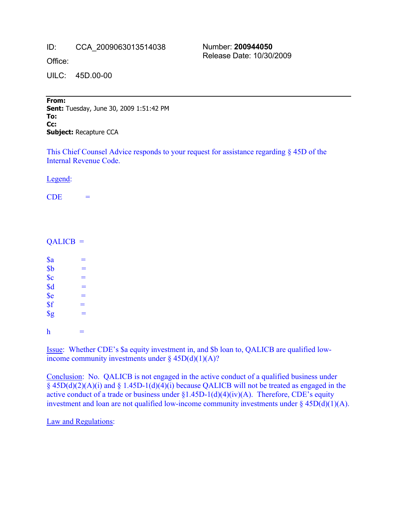ID: CCA\_2009063013514038

Office:

UILC: 45D.00-00

Number: **200944050** Release Date: 10/30/2009

From: **Sent:** Tuesday, June 30, 2009 1:51:42 PM To: **Cc:** --------------------------------------------------------------------- **Subject:** Recapture CCA

This Chief Counsel Advice responds to your request for assistance regarding § 45D of the Internal Revenue Code.

Legend:

 $CDE =$ 

## $QALICB =$

 $a =$  $$b$  =  $\text{Sc}$  =  $\text{Sd}$  =  $\text{Se}$  =  $\int_{0}^{2\pi}$  =  $\text{sg}$  = h  $=$ 

Issue: Whether CDE's \$a equity investment in, and \$b loan to, QALICB are qualified lowincome community investments under  $\S$  45D(d)(1)(A)?

Conclusion: No. QALICB is not engaged in the active conduct of a qualified business under  $§$  45D(d)(2)(A)(i) and  $§$  1.45D-1(d)(4)(i) because QALICB will not be treated as engaged in the active conduct of a trade or business under  $\S1.45D-1(d)(4)(iv)(A)$ . Therefore, CDE's equity investment and loan are not qualified low-income community investments under  $\S$  45D(d)(1)(A).

Law and Regulations: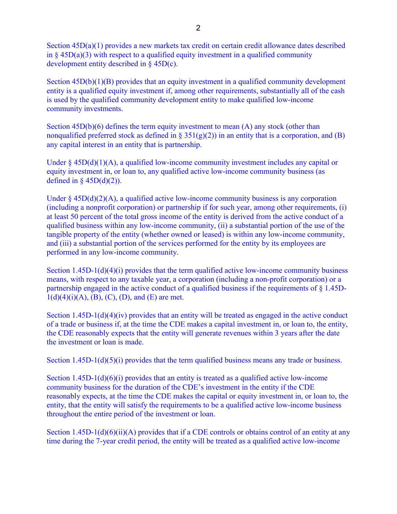Section 45D(a)(1) provides a new markets tax credit on certain credit allowance dates described in  $\S$  45D(a)(3) with respect to a qualified equity investment in a qualified community development entity described in § 45D(c).

Section  $45D(b)(1)(B)$  provides that an equity investment in a qualified community development entity is a qualified equity investment if, among other requirements, substantially all of the cash is used by the qualified community development entity to make qualified low-income community investments.

Section  $45D(b)(6)$  defines the term equity investment to mean  $(A)$  any stock (other than nonqualified preferred stock as defined in § 351(g)(2)) in an entity that is a corporation, and (B) any capital interest in an entity that is partnership.

Under  $\S 45D(d)(1)(A)$ , a qualified low-income community investment includes any capital or equity investment in, or loan to, any qualified active low-income community business (as defined in §  $45D(d)(2)$ ).

Under  $\S 45D(d)(2)(A)$ , a qualified active low-income community business is any corporation (including a nonprofit corporation) or partnership if for such year, among other requirements, (i) at least 50 percent of the total gross income of the entity is derived from the active conduct of a qualified business within any low-income community, (ii) a substantial portion of the use of the tangible property of the entity (whether owned or leased) is within any low-income community, and (iii) a substantial portion of the services performed for the entity by its employees are performed in any low-income community.

Section  $1.45D-1(d)(4)(i)$  provides that the term qualified active low-income community business means, with respect to any taxable year, a corporation (including a non-profit corporation) or a partnership engaged in the active conduct of a qualified business if the requirements of § 1.45D- $1(d)(4)(i)(A), (B), (C), (D),$  and  $(E)$  are met.

Section  $1.45D-1(d)(4)(iv)$  provides that an entity will be treated as engaged in the active conduct of a trade or business if, at the time the CDE makes a capital investment in, or loan to, the entity, the CDE reasonably expects that the entity will generate revenues within 3 years after the date the investment or loan is made.

Section 1.45D-1(d)(5)(i) provides that the term qualified business means any trade or business.

Section  $1.45D-1(d)(6)(i)$  provides that an entity is treated as a qualified active low-income community business for the duration of the CDE's investment in the entity if the CDE reasonably expects, at the time the CDE makes the capital or equity investment in, or loan to, the entity, that the entity will satisfy the requirements to be a qualified active low-income business throughout the entire period of the investment or loan.

Section 1.45D-1(d)(6)(ii)(A) provides that if a CDE controls or obtains control of an entity at any time during the 7-year credit period, the entity will be treated as a qualified active low-income